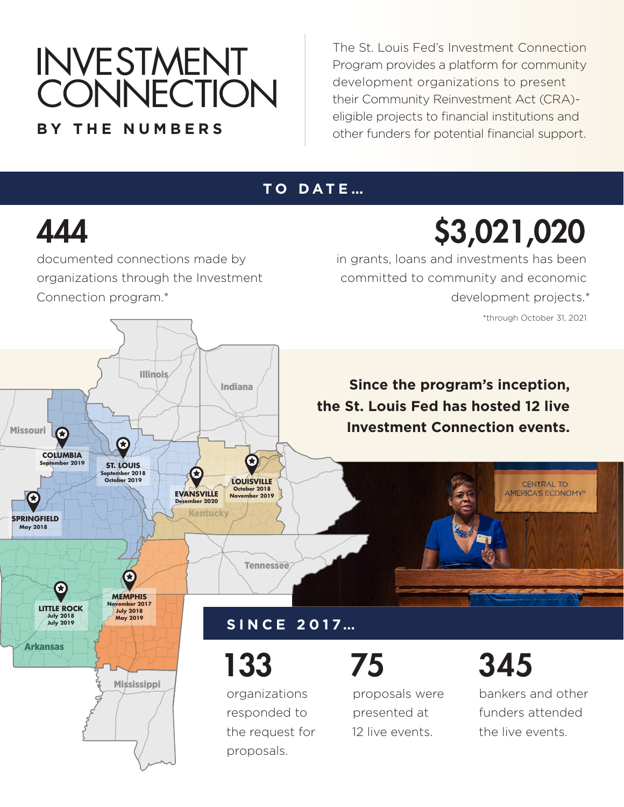# INVESTMENT<br>CONNECTION **BY THE NUMBERS**

The St. Louis Fed's Investment Connection Program provides a platform for community development organizations to present their Community Reinvestment Act (CRA) eligible projects to financial institutions and other funders for potential financial support.

### **TO DATE…**

### 444

Missouri

**COLUMBIA**

G

documented connections made by organizations through the Investment Connection program.\*

**Illinois** 

\$3,021,020 in grants, loans and investments has been committed to community and economic development projects.\*

\*through October 31, 2021

**CENTRAL TO** AMERICA'S ECONOMY®

**Since the program's inception, the St. Louis Fed has hosted 12 live Investment Connection events.**



**September 2018 October 2019 ST. LOUIS**<br> **September 2018** 

C

### **SINCE 2017…**

**Tennessee** 

**October 2018 November 2019 LOUISVILLE**

 $\boldsymbol{\Omega}$ 

133

Indiana

organizations responded to the request for proposals.



proposals were presented at 12 live events.

345

bankers and other funders attended the live events.